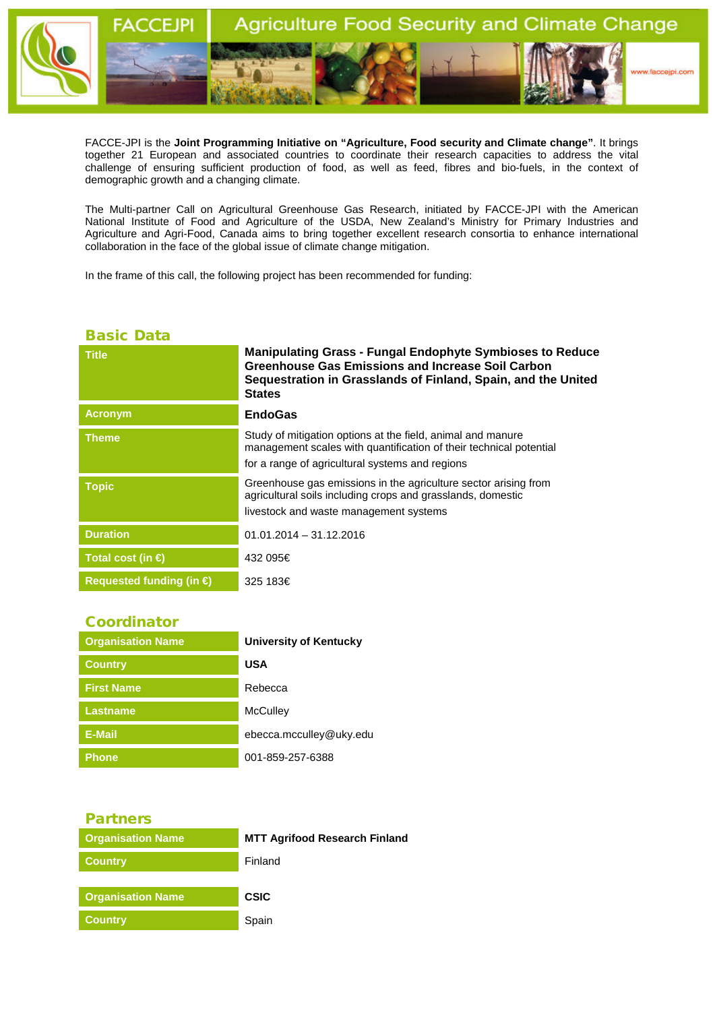

FACCE-JPI is the **Joint Programming Initiative on "Agriculture, Food security and Climate change"**. It brings together 21 European and associated countries to coordinate their research capacities to address the vital challenge of ensuring sufficient production of food, as well as feed, fibres and bio-fuels, in the context of demographic growth and a changing climate.

The Multi-partner Call on Agricultural Greenhouse Gas Research, initiated by FACCE-JPI with the American National Institute of Food and Agriculture of the USDA, New Zealand's Ministry for Primary Industries and Agriculture and Agri-Food, Canada aims to bring together excellent research consortia to enhance international collaboration in the face of the global issue of climate change mitigation.

In the frame of this call, the following project has been recommended for funding:

## Basic Data

| <b>Title</b>                      | <b>Manipulating Grass - Fungal Endophyte Symbioses to Reduce</b><br><b>Greenhouse Gas Emissions and Increase Soil Carbon</b><br>Sequestration in Grasslands of Finland, Spain, and the United<br><b>States</b> |
|-----------------------------------|----------------------------------------------------------------------------------------------------------------------------------------------------------------------------------------------------------------|
| <b>Acronym</b>                    | <b>EndoGas</b>                                                                                                                                                                                                 |
| <b>Theme</b>                      | Study of mitigation options at the field, animal and manure<br>management scales with quantification of their technical potential<br>for a range of agricultural systems and regions                           |
| <b>Topic</b>                      | Greenhouse gas emissions in the agriculture sector arising from<br>agricultural soils including crops and grasslands, domestic<br>livestock and waste management systems                                       |
| <b>Duration</b>                   | $01.01.2014 - 31.12.2016$                                                                                                                                                                                      |
| Total cost (in $\bigoplus$        | 432 095€                                                                                                                                                                                                       |
| Requested funding (in $\bigoplus$ | 325 183€                                                                                                                                                                                                       |

## **Coordinator**

| <b>Organisation Name</b> | <b>University of Kentucky</b> |
|--------------------------|-------------------------------|
| <b>Country</b>           | <b>USA</b>                    |
| <b>First Name</b>        | Rebecca                       |
| <b>Lastname</b>          | <b>McCulley</b>               |
| E-Mail                   | ebecca.mcculley@uky.edu       |
| <b>Phone</b>             | 001-859-257-6388              |

## Partners

| <b>Organisation Name</b> | <b>MTT Agrifood Research Finland</b> |
|--------------------------|--------------------------------------|
| <b>Country</b>           | Finland                              |
|                          |                                      |
| <b>Organisation Name</b> | <b>CSIC</b>                          |
| <b>Country</b>           | Spain                                |